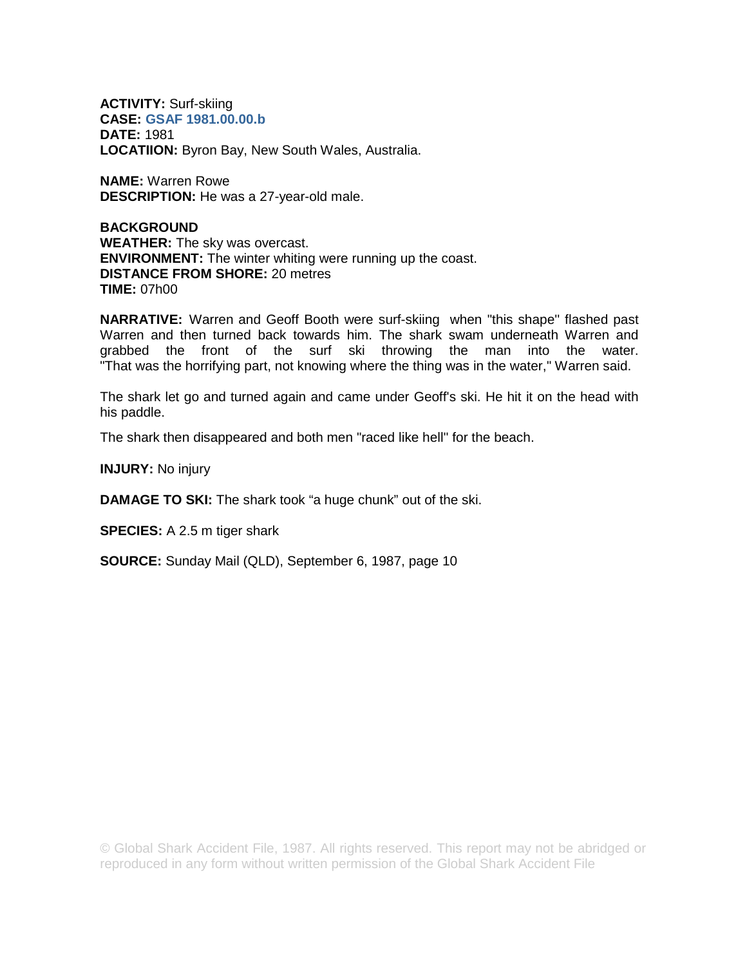**ACTIVITY:** Surf-skiing **CASE: GSAF 1981.00.00.b DATE:** 1981 **LOCATIION:** Byron Bay, New South Wales, Australia.

**NAME:** Warren Rowe **DESCRIPTION:** He was a 27-year-old male.

**BACKGROUND WEATHER:** The sky was overcast. **ENVIRONMENT:** The winter whiting were running up the coast. **DISTANCE FROM SHORE:** 20 metres **TIME:** 07h00

**NARRATIVE:** Warren and Geoff Booth were surf-skiing when "this shape'' flashed past Warren and then turned back towards him. The shark swam underneath Warren and grabbed the front of the surf ski throwing the man into the water. "That was the horrifying part, not knowing where the thing was in the water,'' Warren said.

The shark let go and turned again and came under Geoff's ski. He hit it on the head with his paddle.

The shark then disappeared and both men "raced like hell'' for the beach.

**INJURY:** No injury

**DAMAGE TO SKI:** The shark took "a huge chunk" out of the ski.

**SPECIES:** A 2.5 m tiger shark

**SOURCE:** Sunday Mail (QLD), September 6, 1987, page 10

© Global Shark Accident File, 1987. All rights reserved. This report may not be abridged or reproduced in any form without written permission of the Global Shark Accident File.